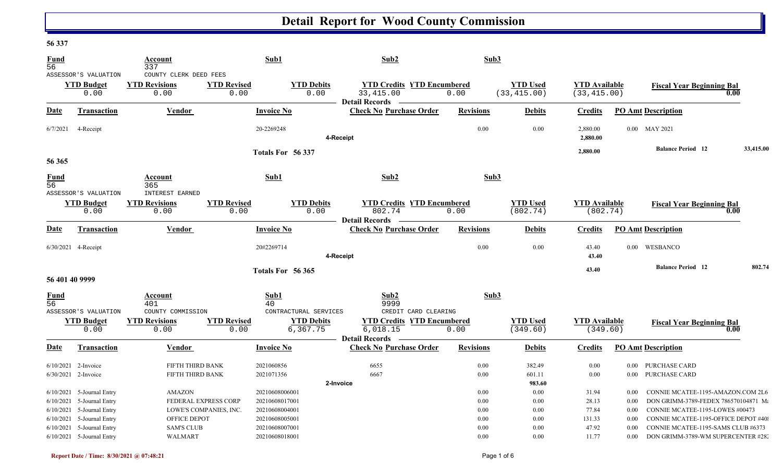### **56 337**

| <b>Fund</b>                    |                             | Account                      |                            | Sub1                          | Sub2                                                                 | Sub3             |                                 |                                      |          |                                      |           |
|--------------------------------|-----------------------------|------------------------------|----------------------------|-------------------------------|----------------------------------------------------------------------|------------------|---------------------------------|--------------------------------------|----------|--------------------------------------|-----------|
| $\overline{56}$                |                             | 337                          |                            |                               |                                                                      |                  |                                 |                                      |          |                                      |           |
|                                | ASSESSOR'S VALUATION        | COUNTY CLERK DEED FEES       |                            |                               |                                                                      |                  |                                 |                                      |          |                                      |           |
|                                | <b>YTD Budget</b><br>0.00   | <b>YTD Revisions</b><br>0.00 | <b>YTD Revised</b><br>0.00 | <b>YTD Debits</b><br>0.00     | <b>YTD Credits YTD Encumbered</b><br>33, 415.00                      | 0.00             | <b>YTD Used</b><br>(33, 415.00) | <b>YTD Available</b><br>(33, 415.00) |          | <b>Fiscal Year Beginning Bal</b>     | 0.00      |
| <b>Date</b>                    | Transaction                 | Vendor                       |                            | <b>Invoice No</b>             | Detail Records —<br><b>Check No Purchase Order</b>                   | <b>Revisions</b> | <b>Debits</b>                   | <b>Credits</b>                       |          | <b>PO Amt Description</b>            |           |
| 6/7/2021                       | 4-Receipt                   |                              |                            | 20-2269248                    | 4-Receipt                                                            | 0.00             | 0.00                            | 2,880.00<br>2,880.00                 |          | 0.00 MAY 2021                        |           |
|                                |                             |                              |                            | Totals For 56 337             |                                                                      |                  |                                 | 2,880.00                             |          | <b>Balance Period</b> 12             | 33,415.00 |
| 56 365                         |                             |                              |                            |                               |                                                                      |                  |                                 |                                      |          |                                      |           |
| <b>Fund</b><br>$\overline{56}$ |                             | Account<br>365               |                            | Sub1                          | Sub2                                                                 | Sub3             |                                 |                                      |          |                                      |           |
|                                | ASSESSOR'S VALUATION        | <b>INTEREST EARNED</b>       |                            |                               |                                                                      |                  |                                 |                                      |          |                                      |           |
|                                | <b>YTD Budget</b><br>0.00   | <b>YTD Revisions</b><br>0.00 | <b>YTD Revised</b><br>0.00 | <b>YTD</b> Debits<br>0.00     | <b>YTD Credits YTD Encumbered</b><br>802.74<br><b>Detail Records</b> | 0.00             | <b>YTD Used</b><br>(802.74)     | <b>YTD Available</b><br>(802.74)     |          | <b>Fiscal Year Beginning Bal</b>     | 0.00      |
| Date                           | <b>Transaction</b>          | Vendor                       |                            | <b>Invoice No</b>             | <b>Check No Purchase Order</b>                                       | <b>Revisions</b> | <b>Debits</b>                   | <b>Credits</b>                       |          | <b>PO Amt Description</b>            |           |
|                                | 6/30/2021 4-Receipt         |                              |                            | 20#2269714                    | 4-Receipt                                                            | 0.00             | 0.00                            | 43.40<br>43.40                       |          | 0.00 WESBANCO                        |           |
|                                |                             |                              |                            |                               |                                                                      |                  |                                 |                                      |          | <b>Balance Period</b> 12             | 802.74    |
| 56 401 40 9999                 |                             |                              |                            | Totals For 56 365             |                                                                      |                  |                                 | 43.40                                |          |                                      |           |
| $\frac{Fund}{56}$              |                             | Account<br>401               |                            | Sub1<br>40                    | Sub2<br>9999                                                         | Sub3             |                                 |                                      |          |                                      |           |
|                                | ASSESSOR'S VALUATION        | COUNTY COMMISSION            |                            | CONTRACTURAL SERVICES         | CREDIT CARD CLEARING                                                 |                  |                                 |                                      |          |                                      |           |
|                                | <b>YTD Budget</b><br>0.00   | <b>YTD Revisions</b><br>0.00 | <b>YTD Revised</b><br>0.00 | <b>YTD Debits</b><br>6,367.75 | <b>YTD Credits YTD Encumbered</b><br>6,018.15                        | 0.00             | <b>YTD Used</b><br>(349.60)     | <b>YTD</b> Available<br>(349.60)     |          | <b>Fiscal Year Beginning Bal</b>     | 0.00      |
| Date                           | <b>Transaction</b>          | Vendor                       |                            | <b>Invoice No</b>             | <b>Detail Records</b><br><b>Check No Purchase Order</b>              | <b>Revisions</b> | <b>Debits</b>                   | <b>Credits</b>                       |          | <b>PO Amt Description</b>            |           |
|                                | $6/10/2021$ 2-Invoice       | FIFTH THIRD BANK             |                            | 2021060856                    | 6655                                                                 | 0.00             | 382.49                          | 0.00                                 |          | 0.00 PURCHASE CARD                   |           |
|                                | 6/30/2021 2-Invoice         | FIFTH THIRD BANK             |                            | 2021071356                    | 6667                                                                 | 0.00             | 601.11                          | 0.00                                 |          | 0.00 PURCHASE CARD                   |           |
|                                |                             |                              |                            |                               | 2-Invoice                                                            |                  | 983.60                          |                                      |          |                                      |           |
|                                | $6/10/2021$ 5-Journal Entry | <b>AMAZON</b>                |                            | 20210608006001                |                                                                      | 0.00             | 0.00                            | 31.94                                | $0.00\,$ | CONNIE MCATEE-1195-AMAZON.COM 2L6    |           |
|                                | $6/10/2021$ 5-Journal Entry |                              | FEDERAL EXPRESS CORP       | 20210608017001                |                                                                      | 0.00             | 0.00                            | 28.13                                | $0.00\,$ | DON GRIMM-3789-FEDEX 786570104871 Ma |           |
|                                | 6/10/2021 5-Journal Entry   |                              | LOWE'S COMPANIES, INC.     | 20210608004001                |                                                                      | 0.00             | 0.00                            | 77.84                                | 0.00     | CONNIE MCATEE-1195-LOWES #00473      |           |
|                                | $6/10/2021$ 5-Journal Entry | OFFICE DEPOT                 |                            | 20210608005001                |                                                                      | 0.00             | 0.00                            | 131.33                               | $0.00\,$ | CONNIE MCATEE-1195-OFFICE DEPOT #40  |           |
|                                | $6/10/2021$ 5-Journal Entry | <b>SAM'S CLUB</b>            |                            | 20210608007001                |                                                                      | 0.00             | 0.00                            | 47.92                                | $0.00\,$ | CONNIE MCATEE-1195-SAMS CLUB #6373   |           |
|                                | 6/10/2021 5-Journal Entry   | <b>WALMART</b>               |                            | 20210608018001                |                                                                      | 0.00             | 0.00                            | 11.77                                | $0.00\,$ | DON GRIMM-3789-WM SUPERCENTER #28.   |           |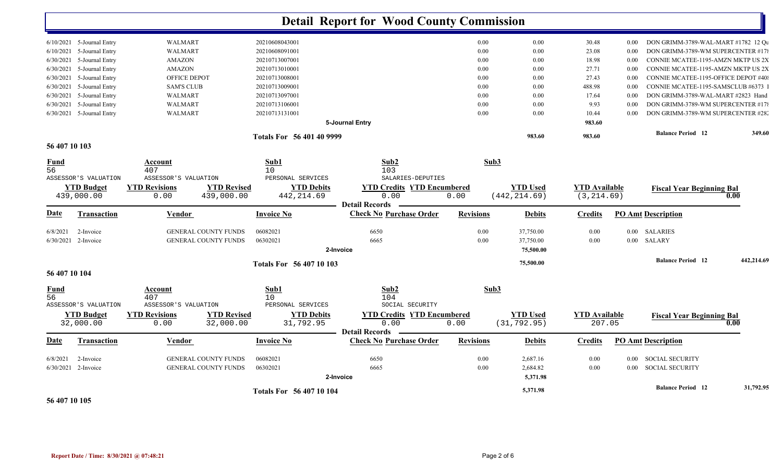|                                |                                            |                           | <b>Detail Report for Wood County Commission</b> |                  |                                 |                                |          |                                     |            |
|--------------------------------|--------------------------------------------|---------------------------|-------------------------------------------------|------------------|---------------------------------|--------------------------------|----------|-------------------------------------|------------|
| $6/10/2021$ 5-Journal Entry    | <b>WALMART</b>                             | 20210608043001            |                                                 | 0.00             | 0.00                            | 30.48                          | $0.00\,$ | DON GRIMM-3789-WAL-MART #1782 12 Qu |            |
| $6/10/2021$ 5-Journal Entry    | <b>WALMART</b>                             | 20210608091001            |                                                 | 0.00             | 0.00                            | 23.08                          | 0.00     | DON GRIMM-3789-WM SUPERCENTER #17   |            |
| 6/30/2021<br>5-Journal Entry   | AMAZON                                     | 20210713007001            |                                                 | 0.00             | 0.00                            | 18.98                          | 0.00     | CONNIE MCATEE-1195-AMZN MKTP US 2X  |            |
| 5-Journal Entry<br>6/30/2021   | <b>AMAZON</b>                              | 20210713010001            |                                                 | 0.00             | 0.00                            | 27.71                          | 0.00     | CONNIE MCATEE-1195-AMZN MKTP US 2X  |            |
| 6/30/2021<br>5-Journal Entry   | OFFICE DEPOT                               | 20210713008001            |                                                 | 0.00             | 0.00                            | 27.43                          | 0.00     | CONNIE MCATEE-1195-OFFICE DEPOT #40 |            |
| 6/30/2021<br>5-Journal Entry   | <b>SAM'S CLUB</b>                          | 20210713009001            |                                                 | 0.00             | 0.00                            | 488.98                         | 0.00     | CONNIE MCATEE-1195-SAMSCLUB #6373   |            |
| 6/30/2021<br>5-Journal Entry   | WALMART                                    | 20210713097001            |                                                 | 0.00             | 0.00                            | 17.64                          | 0.00     | DON GRIMM-3789-WAL-MART #2823 Hand  |            |
| 6/30/2021 5-Journal Entry      | <b>WALMART</b>                             | 20210713106001            |                                                 | 0.00             | 0.00                            | 9.93                           | 0.00     | DON GRIMM-3789-WM SUPERCENTER #178  |            |
| 6/30/2021 5-Journal Entry      | <b>WALMART</b>                             | 20210713131001            |                                                 | 0.00             | 0.00                            | 10.44                          | 0.00     | DON GRIMM-3789-WM SUPERCENTER #282  |            |
|                                |                                            |                           | 5-Journal Entry                                 |                  |                                 | 983.60                         |          |                                     |            |
|                                |                                            | Totals For 56 401 40 9999 |                                                 |                  | 983.60                          | 983.60                         |          | <b>Balance Period 12</b>            | 349.60     |
| 56 407 10 103                  |                                            |                           |                                                 |                  |                                 |                                |          |                                     |            |
| Fund<br>56                     | Account<br>407                             | Sub1<br>10                | Sub2<br>103                                     | Sub3             |                                 |                                |          |                                     |            |
| ASSESSOR'S VALUATION           | ASSESSOR'S VALUATION                       | PERSONAL SERVICES         | SALARIES-DEPUTIES                               |                  |                                 |                                |          |                                     |            |
| <b>YTD Budget</b>              | <b>YTD Revisions</b><br><b>YTD Revised</b> | <b>YTD Debits</b>         | <b>YTD Credits YTD Encumbered</b>               |                  | <b>YTD Used</b>                 | <b>YTD</b> Available           |          | <b>Fiscal Year Beginning Bal</b>    |            |
| 439,000.00                     | 439,000.00<br>0.00                         | 442, 214.69               | 0.00<br><b>Detail Records</b>                   | 0.00             | (442, 214.69)                   | (3, 214.69)                    |          |                                     | 0.00       |
| <u>Date</u><br>Transaction     | <b>Vendor</b>                              | <b>Invoice No</b>         | <b>Check No Purchase Order</b>                  | <b>Revisions</b> | <b>Debits</b>                   | <b>Credits</b>                 |          | <b>PO Amt Description</b>           |            |
| 6/8/2021<br>2-Invoice          | <b>GENERAL COUNTY FUNDS</b>                | 06082021                  | 6650                                            | 0.00             | 37,750.00                       | 0.00                           | $0.00\,$ | SALARIES                            |            |
| $6/30/2021$ 2-Invoice          | <b>GENERAL COUNTY FUNDS</b>                | 06302021                  | 6665                                            | 0.00             | 37,750.00                       | 0.00                           | $0.00\,$ | SALARY                              |            |
|                                |                                            |                           | 2-Invoice                                       |                  | 75,500.00                       |                                |          |                                     |            |
|                                |                                            | Totals For 56 407 10 103  |                                                 |                  | 75,500.00                       |                                |          | <b>Balance Period</b> 12            | 442.214.69 |
| 56 407 10 104                  |                                            |                           |                                                 |                  |                                 |                                |          |                                     |            |
| Fund<br>56                     | Account<br>407                             | Sub1<br>10                | Sub2<br>104                                     | Sub3             |                                 |                                |          |                                     |            |
| ASSESSOR'S VALUATION           | ASSESSOR'S VALUATION                       | PERSONAL SERVICES         | SOCIAL SECURITY                                 |                  |                                 |                                |          |                                     |            |
| <b>YTD Budget</b><br>32,000.00 | <b>YTD Revisions</b><br><b>YTD Revised</b> | <b>YTD Debits</b>         | <b>YTD Credits YTD Encumbered</b><br>0.00       |                  | <b>YTD Used</b><br>(31, 792.95) | <b>YTD Available</b><br>207.05 |          | <b>Fiscal Year Beginning Bal</b>    | 0.00       |
|                                | 32,000.00<br>0.00                          | 31,792.95                 | <b>Detail Records</b>                           | 0.00             |                                 |                                |          |                                     |            |
| Date<br>Transaction            | Vendor                                     | <b>Invoice No</b>         | <b>Check No Purchase Order</b>                  | <b>Revisions</b> | <b>Debits</b>                   | <b>Credits</b>                 |          | <b>PO Amt Description</b>           |            |
| 6/8/2021<br>2-Invoice          | GENERAL COUNTY FUNDS                       | 06082021                  | 6650                                            | 0.00             | 2,687.16                        | 0.00                           |          | 0.00 SOCIAL SECURITY                |            |
| 6/30/2021 2-Invoice            | <b>GENERAL COUNTY FUNDS</b>                | 06302021                  | 6665                                            | 0.00             | 2,684.82                        | 0.00                           | $0.00\,$ | <b>SOCIAL SECURITY</b>              |            |
|                                |                                            |                           | 2-Invoice                                       |                  | 5,371.98                        |                                |          |                                     |            |
|                                |                                            | Totals For 56 407 10 104  |                                                 |                  | 5,371.98                        |                                |          | <b>Balance Period 12</b>            | 31,792.95  |

**56 407 10 105**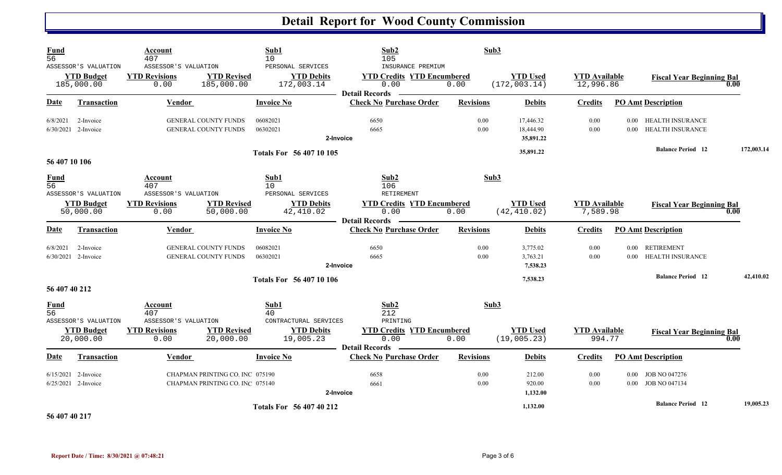| <b>Fund</b><br>$\overline{56}$ |                                                         | Account<br>407                                       |                                                                    | Sub1<br>10                                           | Sub2<br>105                                                                             | Sub3             |                                     |                                   |                           |                                       |            |
|--------------------------------|---------------------------------------------------------|------------------------------------------------------|--------------------------------------------------------------------|------------------------------------------------------|-----------------------------------------------------------------------------------------|------------------|-------------------------------------|-----------------------------------|---------------------------|---------------------------------------|------------|
|                                | ASSESSOR'S VALUATION<br><b>YTD Budget</b><br>185,000.00 | ASSESSOR'S VALUATION<br><b>YTD Revisions</b><br>0.00 | <b>YTD Revised</b><br>185,000.00                                   | PERSONAL SERVICES<br><b>YTD Debits</b><br>172,003.14 | INSURANCE PREMIUM<br><b>YTD Credits YTD Encumbered</b><br>0.00<br><b>Detail Records</b> | 0.00             | <b>YTD Used</b><br>(172, 003.14)    | <b>YTD Available</b><br>12,996.86 |                           | <b>Fiscal Year Beginning Bal</b>      | 0.00       |
| Date                           | <b>Transaction</b>                                      | <b>Vendor</b>                                        |                                                                    | <b>Invoice No</b>                                    | <b>Check No Purchase Order</b>                                                          | <b>Revisions</b> | <b>Debits</b>                       | <b>Credits</b>                    |                           | <b>PO Amt Description</b>             |            |
| 6/8/2021                       | 2-Invoice<br>6/30/2021 2-Invoice                        |                                                      | GENERAL COUNTY FUNDS<br>GENERAL COUNTY FUNDS                       | 06082021<br>06302021                                 | 6650<br>6665<br>2-Invoice                                                               | 0.00<br>0.00     | 17,446.32<br>18,444.90<br>35,891.22 | 0.00<br>0.00                      | 0.00<br>0.00              | HEALTH INSURANCE<br>HEALTH INSURANCE  |            |
| 56 407 10 106                  |                                                         |                                                      |                                                                    | <b>Totals For 56 407 10 105</b>                      |                                                                                         |                  | 35,891.22                           |                                   |                           | <b>Balance Period 12</b>              | 172,003.14 |
| <b>Fund</b><br>$\overline{56}$ | ASSESSOR'S VALUATION                                    | Account<br>407<br>ASSESSOR'S VALUATION               |                                                                    | Sub1<br>10<br>PERSONAL SERVICES                      | Sub2<br>106<br>RETIREMENT                                                               | Sub3             |                                     |                                   |                           |                                       |            |
|                                | <b>YTD Budget</b><br>50,000.00                          | <b>YTD Revisions</b><br>0.00                         | <b>YTD Revised</b><br>50,000.00                                    | <b>YTD Debits</b><br>42,410.02                       | <b>YTD Credits YTD Encumbered</b><br>0.00<br><b>Detail Records</b>                      | 0.00             | <b>YTD Used</b><br>(42, 410.02)     | <b>YTD Available</b><br>7,589.98  |                           | <b>Fiscal Year Beginning Bal</b>      | 0.00       |
| Date                           | <b>Transaction</b>                                      | Vendor                                               |                                                                    | <b>Invoice No</b>                                    | <b>Check No Purchase Order</b>                                                          | <b>Revisions</b> | <b>Debits</b>                       | <b>Credits</b>                    |                           | <b>PO Amt Description</b>             |            |
| 6/8/2021                       | 2-Invoice<br>6/30/2021 2-Invoice                        |                                                      | <b>GENERAL COUNTY FUNDS</b><br><b>GENERAL COUNTY FUNDS</b>         | 06082021<br>06302021                                 | 6650<br>6665<br>2-Invoice                                                               | 0.00<br>0.00     | 3,775.02<br>3,763.21<br>7,538.23    | 0.00<br>0.00                      | 0.00                      | 0.00 RETIREMENT<br>HEALTH INSURANCE   |            |
| 56 407 40 212                  |                                                         |                                                      |                                                                    | Totals For 56 407 10 106                             |                                                                                         |                  | 7,538.23                            |                                   |                           | <b>Balance Period 12</b>              | 42,410.02  |
| <b>Fund</b><br>$\overline{56}$ | ASSESSOR'S VALUATION                                    | Account<br>407<br>ASSESSOR'S VALUATION               |                                                                    | Sub1<br>40<br>CONTRACTURAL SERVICES                  | Sub2<br>212<br>PRINTING                                                                 | Sub3             |                                     |                                   |                           |                                       |            |
|                                | <b>YTD Budget</b><br>20,000.00                          | <b>YTD Revisions</b><br>0.00                         | <b>YTD Revised</b><br>20,000.00                                    | <b>YTD Debits</b><br>19,005.23                       | <b>YTD Credits YTD Encumbered</b><br>0.00<br><b>Detail Records</b>                      | 0.00             | <b>YTD Used</b><br>(19,005.23)      | <b>YTD</b> Available<br>994.77    |                           | <b>Fiscal Year Beginning Bal</b>      | 0.00       |
| Date                           | Transaction                                             | Vendor                                               |                                                                    | <b>Invoice No</b>                                    | <b>Check No Purchase Order</b>                                                          | <b>Revisions</b> | <b>Debits</b>                       | <b>Credits</b>                    |                           | <b>PO Amt Description</b>             |            |
|                                | $6/15/2021$ 2-Invoice<br>$6/25/2021$ 2-Invoice          |                                                      | CHAPMAN PRINTING CO. INC 075190<br>CHAPMAN PRINTING CO. INC 075140 |                                                      | 6658<br>6661<br>2-Invoice                                                               | 0.00<br>0.00     | 212.00<br>920.00<br>1,132.00        | 0.00<br>0.00                      | 0.00<br>0.00 <sub>1</sub> | JOB NO 047276<br><b>JOB NO 047134</b> |            |
| $-2$ $-10 - 10$ $-1 -$         |                                                         |                                                      |                                                                    | <b>Totals For 56 407 40 212</b>                      |                                                                                         |                  | 1,132.00                            |                                   |                           | <b>Balance Period</b> 12              | 19,005.23  |

**56 407 40 217**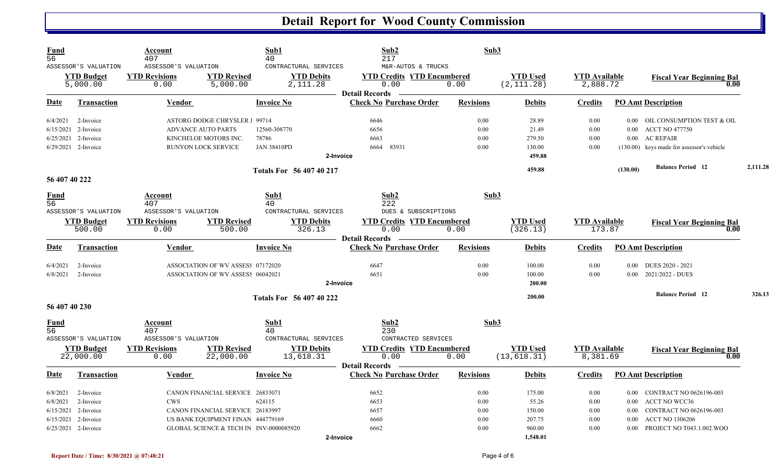| <b>Fund</b><br>$\overline{56}$ | ASSESSOR'S VALUATION                                | Account<br>407<br>ASSESSOR'S VALUATION               |                                         | Sub1<br>40<br>CONTRACTURAL SERVICES                  | Sub2<br>217<br>M&R-AUTOS & TRUCKS                                  | Sub3             |                                |                                  |          |                                           |          |
|--------------------------------|-----------------------------------------------------|------------------------------------------------------|-----------------------------------------|------------------------------------------------------|--------------------------------------------------------------------|------------------|--------------------------------|----------------------------------|----------|-------------------------------------------|----------|
|                                | <b>YTD Budget</b><br>5,000.00                       | <b>YTD Revisions</b><br>0.00                         | <b>YTD Revised</b><br>5,000.00          | <b>YTD Debits</b><br>2, 111.28                       | <b>YTD Credits YTD Encumbered</b><br>0.00<br><b>Detail Records</b> | 0.00             | <b>YTD Used</b><br>(2, 111.28) | <b>YTD Available</b><br>2,888.72 |          | <b>Fiscal Year Beginning Bal</b><br>0.00  |          |
| Date                           | <b>Transaction</b>                                  | <b>Vendor</b>                                        |                                         | <b>Invoice No</b>                                    | <b>Check No Purchase Order</b>                                     | <b>Revisions</b> | <b>Debits</b>                  | <b>Credits</b>                   |          | <b>PO Amt Description</b>                 |          |
| 6/4/2021                       | 2-Invoice                                           |                                                      | ASTORG DODGE CHRYSLER 1 99714           |                                                      | 6646                                                               | 0.00             | 28.89                          | 0.00                             |          | 0.00 OIL CONSUMPTION TEST & OIL           |          |
| 6/15/2021                      | 2-Invoice                                           |                                                      | <b>ADVANCE AUTO PARTS</b>               | 12560-308770                                         | 6656                                                               | 0.00             | 21.49                          | 0.00                             | 0.00     | <b>ACCT NO 477750</b>                     |          |
| 6/25/2021                      | 2-Invoice                                           |                                                      | KINCHELOE MOTORS INC.                   | 78786                                                | 6663                                                               | 0.00             | 279.50                         | 0.00                             | 0.00     | <b>AC REPAIR</b>                          |          |
|                                | 6/29/2021 2-Invoice                                 |                                                      | RUNYON LOCK SERVICE                     | <b>JAN 38410PD</b>                                   | 6664 83931<br>2-Invoice                                            | 0.00             | 130.00<br>459.88               | 0.00                             |          | (130.00) keys made for assessor's vehicle |          |
|                                |                                                     |                                                      |                                         | <b>Totals For 56 407 40 217</b>                      |                                                                    |                  | 459.88                         |                                  | (130.00) | <b>Balance Period 12</b>                  | 2,111.28 |
| 56 407 40 222                  |                                                     |                                                      |                                         |                                                      |                                                                    |                  |                                |                                  |          |                                           |          |
| <b>Fund</b><br>56              |                                                     | Account<br>407                                       |                                         | Sub1<br>40                                           | Sub2<br>222                                                        | Sub3             |                                |                                  |          |                                           |          |
|                                | ASSESSOR'S VALUATION<br><b>YTD Budget</b><br>500.00 | ASSESSOR'S VALUATION<br><b>YTD Revisions</b><br>0.00 | <b>YTD Revised</b><br>500.00            | CONTRACTURAL SERVICES<br><b>YTD Debits</b><br>326.13 | DUES & SUBSCRIPTIONS<br><b>YTD Credits YTD Encumbered</b><br>0.00  | 0.00             | <b>YTD Used</b><br>(326.13)    | <b>YTD Available</b><br>173.87   |          | <b>Fiscal Year Beginning Bal</b><br>0.00  |          |
| Date                           | <b>Transaction</b>                                  | Vendor                                               |                                         | <b>Invoice No</b>                                    | <b>Detail Records</b><br><b>Check No Purchase Order</b>            | <b>Revisions</b> | <b>Debits</b>                  | <b>Credits</b>                   |          | <b>PO Amt Description</b>                 |          |
| 6/4/2021                       | 2-Invoice                                           |                                                      | ASSOCIATION OF WV ASSESS 07172020       |                                                      | 6647                                                               | 0.00             | 100.00                         | 0.00                             | 0.00     | DUES 2020 - 2021                          |          |
| 6/8/2021                       | 2-Invoice                                           |                                                      | ASSOCIATION OF WV ASSESS 06042021       |                                                      | 6651                                                               | 0.00             | 100.00                         | 0.00                             | 0.00     | 2021/2022 - DUES                          |          |
|                                |                                                     |                                                      |                                         |                                                      | 2-Invoice                                                          |                  | 200.00                         |                                  |          |                                           |          |
|                                |                                                     |                                                      |                                         | <b>Totals For 56 407 40 222</b>                      |                                                                    |                  | 200.00                         |                                  |          | <b>Balance Period 12</b>                  | 326.13   |
| 56 407 40 230                  |                                                     |                                                      |                                         |                                                      |                                                                    |                  |                                |                                  |          |                                           |          |
| <b>Fund</b><br>$\overline{56}$ | ASSESSOR'S VALUATION                                | Account<br>407<br>ASSESSOR'S VALUATION               |                                         | Sub1<br>40<br>CONTRACTURAL SERVICES                  | Sub2<br>230<br>CONTRACTED SERVICES                                 | Sub3             |                                |                                  |          |                                           |          |
|                                | <b>YTD Budget</b>                                   | <b>YTD Revisions</b>                                 | <b>YTD Revised</b>                      | <b>YTD Debits</b>                                    | <b>YTD Credits YTD Encumbered</b>                                  |                  | <b>YTD</b> Used                | <b>YTD Available</b>             |          | <b>Fiscal Year Beginning Bal</b>          |          |
|                                | 22,000.00                                           | 0.00                                                 | 22,000.00                               | 13,618.31                                            | 0.00<br><b>Detail Records</b>                                      | 0.00             | (13, 618.31)                   | 8,381.69                         |          | 0.00                                      |          |
| Date                           | Transaction                                         | Vendor                                               |                                         | <b>Invoice No</b>                                    | <b>Check No Purchase Order</b>                                     | <b>Revisions</b> | <b>Debits</b>                  | <b>Credits</b>                   |          | <b>PO Amt Description</b>                 |          |
| 6/8/2021                       | 2-Invoice                                           |                                                      | CANON FINANCIAL SERVICE 26833071        |                                                      | 6652                                                               | 0.00             | 175.00                         | 0.00                             |          | 0.00 CONTRACT NO 0626196-003              |          |
| 6/8/2021                       | 2-Invoice                                           | <b>CWS</b>                                           |                                         | 624115                                               | 6653                                                               | 0.00             | 55.26                          | 0.00                             | 0.00     | <b>ACCT NO WCC36</b>                      |          |
| 6/15/2021                      | 2-Invoice                                           |                                                      | CANON FINANCIAL SERVICE 26183997        |                                                      | 6657                                                               | 0.00             | 150.00                         | 0.00                             | 0.00     | CONTRACT NO 0626196-003                   |          |
| 6/15/2021                      | 2-Invoice                                           |                                                      | US BANK EQUIPMENT FINAN 444779169       |                                                      | 6660                                                               | 0.00             | 207.75                         | 0.00                             | 0.00     | <b>ACCT NO 1306206</b>                    |          |
|                                | 6/25/2021 2-Invoice                                 |                                                      | GLOBAL SCIENCE & TECH IN INV-0000085920 |                                                      | 6662                                                               | 0.00             | 960.00                         | 0.00                             | 0.00     | PROJECT NO T043.1.002.WOO                 |          |
|                                |                                                     |                                                      |                                         |                                                      | 2-Invoice                                                          |                  | 1,548.01                       |                                  |          |                                           |          |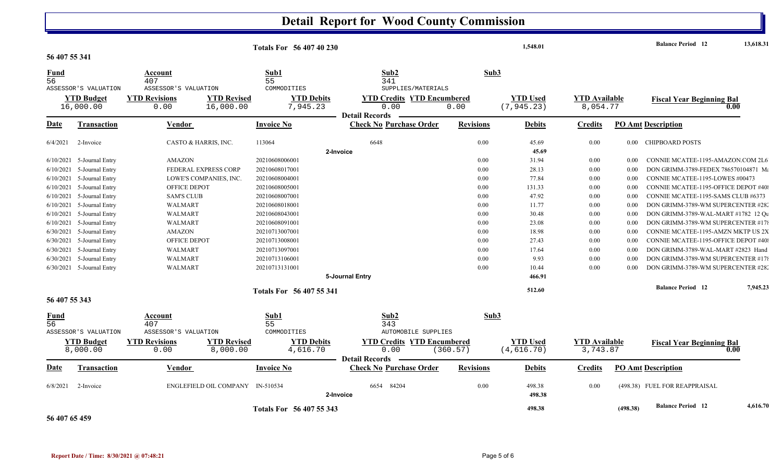|                 |                             |                      |                        | <b>Totals For 56 407 40 230</b> |                                                         |                  | 1,548.01         |                      |          | <b>Balance Period</b> 12             | 13,618.31 |
|-----------------|-----------------------------|----------------------|------------------------|---------------------------------|---------------------------------------------------------|------------------|------------------|----------------------|----------|--------------------------------------|-----------|
| 56 407 55 341   |                             |                      |                        |                                 |                                                         |                  |                  |                      |          |                                      |           |
| <b>Fund</b>     |                             | Account              |                        | Sub1                            | Sub2                                                    | Sub3             |                  |                      |          |                                      |           |
| 56              |                             | 407                  |                        | 55                              | 341                                                     |                  |                  |                      |          |                                      |           |
|                 | ASSESSOR'S VALUATION        | ASSESSOR'S VALUATION |                        | COMMODITIES                     | SUPPLIES/MATERIALS                                      |                  |                  |                      |          |                                      |           |
|                 | <b>YTD Budget</b>           | <b>YTD Revisions</b> | <b>YTD Revised</b>     | <b>YTD Debits</b>               | <b>YTD Credits YTD Encumbered</b>                       |                  | <b>YTD Used</b>  | <b>YTD</b> Available |          | <b>Fiscal Year Beginning Bal</b>     |           |
|                 | 16,000.00                   | 0.00                 | 16,000.00              | 7,945.23                        | 0.00<br><b>Detail Records</b>                           | 0.00             | (7, 945.23)      | 8,054.77             |          |                                      | 0.00      |
|                 |                             |                      |                        |                                 | <b>Check No Purchase Order</b>                          |                  |                  |                      |          |                                      |           |
| Date            | <b>Transaction</b>          | Vendor               |                        | <b>Invoice No</b>               |                                                         | <b>Revisions</b> | <b>Debits</b>    | <b>Credits</b>       |          | <b>PO Amt Description</b>            |           |
| 6/4/2021        | 2-Invoice                   |                      | CASTO & HARRIS, INC.   | 113064                          | 6648                                                    | 0.00             | 45.69            | 0.00                 | $0.00\,$ | <b>CHIPBOARD POSTS</b>               |           |
|                 |                             |                      |                        |                                 | 2-Invoice                                               |                  | 45.69            |                      |          |                                      |           |
|                 | 6/10/2021 5-Journal Entry   | AMAZON               |                        | 20210608006001                  |                                                         | 0.00             | 31.94            | 0.00                 | 0.00     | CONNIE MCATEE-1195-AMAZON.COM 2L6    |           |
| 6/10/2021       | 5-Journal Entry             |                      | FEDERAL EXPRESS CORP   | 20210608017001                  |                                                         | 0.00             | 28.13            | 0.00                 | 0.00     | DON GRIMM-3789-FEDEX 786570104871 Ma |           |
| 6/10/2021       | 5-Journal Entry             |                      | LOWE'S COMPANIES, INC. | 20210608004001                  |                                                         | 0.00             | 77.84            | 0.00                 | $0.00\,$ | CONNIE MCATEE-1195-LOWES #00473      |           |
|                 | 6/10/2021 5-Journal Entry   | OFFICE DEPOT         |                        | 20210608005001                  |                                                         | 0.00             | 131.33           | 0.00                 | 0.00     | CONNIE MCATEE-1195-OFFICE DEPOT #40: |           |
|                 | $6/10/2021$ 5-Journal Entry | <b>SAM'S CLUB</b>    |                        | 20210608007001                  |                                                         | 0.00             | 47.92            | 0.00                 | 0.00     | CONNIE MCATEE-1195-SAMS CLUB #6373   |           |
|                 | $6/10/2021$ 5-Journal Entry | WALMART              |                        | 20210608018001                  |                                                         | 0.00             | 11.77            | 0.00                 | 0.00     | DON GRIMM-3789-WM SUPERCENTER #28.   |           |
| 6/10/2021       | 5-Journal Entry             | <b>WALMART</b>       |                        | 20210608043001                  |                                                         | 0.00             | 30.48            | 0.00                 | 0.00     | DON GRIMM-3789-WAL-MART #1782 12 Qu  |           |
|                 | $6/10/2021$ 5-Journal Entry | WALMART              |                        | 20210608091001                  |                                                         | 0.00             | 23.08            | 0.00                 | 0.00     | DON GRIMM-3789-WM SUPERCENTER #178   |           |
|                 | $6/30/2021$ 5-Journal Entry | AMAZON               |                        | 20210713007001                  |                                                         | 0.00             | 18.98            | 0.00                 | 0.00     | CONNIE MCATEE-1195-AMZN MKTP US 2X   |           |
|                 | 6/30/2021 5-Journal Entry   | OFFICE DEPOT         |                        | 20210713008001                  |                                                         | 0.00             | 27.43            | 0.00                 | 0.00     | CONNIE MCATEE-1195-OFFICE DEPOT #40: |           |
|                 | 6/30/2021 5-Journal Entry   | WALMART              |                        | 20210713097001                  |                                                         | 0.00             | 17.64            | 0.00                 | 0.00     | DON GRIMM-3789-WAL-MART #2823 Hand   |           |
|                 | 6/30/2021 5-Journal Entry   | <b>WALMART</b>       |                        | 20210713106001                  |                                                         | 0.00             | 9.93             | 0.00                 | 0.00     | DON GRIMM-3789-WM SUPERCENTER #178   |           |
|                 | $6/30/2021$ 5-Journal Entry | WALMART              |                        | 20210713131001                  |                                                         | 0.00             | 10.44            | 0.00                 | 0.00     | DON GRIMM-3789-WM SUPERCENTER #28.   |           |
|                 |                             |                      |                        |                                 | 5-Journal Entry                                         |                  | 466.91           |                      |          |                                      |           |
|                 |                             |                      |                        |                                 |                                                         |                  |                  |                      |          | <b>Balance Period 12</b>             | 7,945.23  |
|                 |                             |                      |                        | Totals For 56 407 55 341        |                                                         |                  | 512.60           |                      |          |                                      |           |
| 56 407 55 343   |                             |                      |                        |                                 |                                                         |                  |                  |                      |          |                                      |           |
| <b>Fund</b>     |                             | Account              |                        | Sub1                            | Sub2                                                    | Sub3             |                  |                      |          |                                      |           |
| $\overline{56}$ |                             | 407                  |                        | 55                              | 343                                                     |                  |                  |                      |          |                                      |           |
|                 | ASSESSOR'S VALUATION        | ASSESSOR'S VALUATION |                        | COMMODITIES                     | <b>AUTOMOBILE SUPPLIES</b>                              |                  |                  |                      |          |                                      |           |
|                 | <b>YTD Budget</b>           | <b>YTD Revisions</b> | <b>YTD Revised</b>     | <b>YTD Debits</b>               | <b>YTD Credits YTD Encumbered</b>                       |                  | <b>YTD Used</b>  | <b>YTD Available</b> |          | <b>Fiscal Year Beginning Bal</b>     |           |
|                 | 8,000.00                    | 0.00                 | 8,000.00               | 4,616.70                        | 0.00                                                    | (360.57)         | (4, 616.70)      | 3,743.87             |          |                                      | 0.00      |
| Date            | <b>Transaction</b>          | <b>Vendor</b>        |                        | <b>Invoice No</b>               | <b>Detail Records</b><br><b>Check No Purchase Order</b> | <b>Revisions</b> | <b>Debits</b>    | <b>Credits</b>       |          | <b>PO Amt Description</b>            |           |
|                 |                             |                      |                        |                                 |                                                         |                  |                  |                      |          |                                      |           |
| 6/8/2021        | 2-Invoice                   |                      | ENGLEFIELD OIL COMPANY | IN-510534                       | 6654 84204<br>2-Invoice                                 | 0.00             | 498.38<br>498.38 | 0.00                 |          | (498.38) FUEL FOR REAPPRAISAL        |           |
|                 |                             |                      |                        |                                 |                                                         |                  | 498.38           |                      | (498.38) | <b>Balance Period 12</b>             | 4,616.70  |
|                 |                             |                      |                        | Totals For 56 407 55 343        |                                                         |                  |                  |                      |          |                                      |           |

**56 407 65 459**